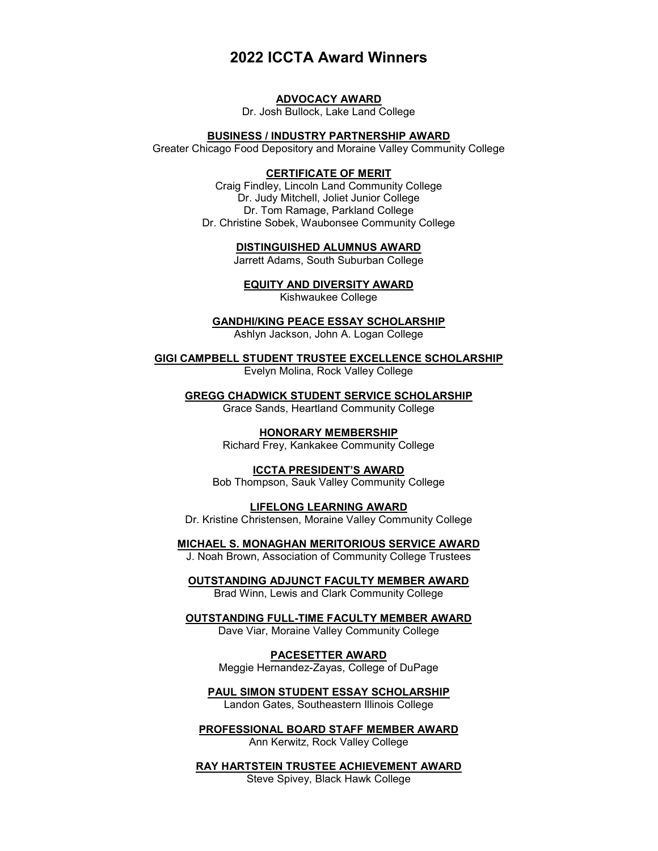# **2022 ICCTA Award Winners**

#### **ADVOCACY AWARD**

Dr. Josh Bullock, Lake Land College

#### **BUSINESS / INDUSTRY PARTNERSHIP AWARD**

Greater Chicago Food Depository and Moraine Valley Community College

## **CERTIFICATE OF MERIT**

Craig Findley, Lincoln Land Community College Dr. Judy Mitchell, Joliet Junior College Dr. Tom Ramage, Parkland College Dr. Christine Sobek, Waubonsee Community College

**DISTINGUISHED ALUMNUS AWARD**

Jarrett Adams, South Suburban College

**EQUITY AND DIVERSITY AWARD**

Kishwaukee College

**GANDHI/KING PEACE ESSAY SCHOLARSHIP**

Ashlyn Jackson, John A. Logan College

**GIGI CAMPBELL STUDENT TRUSTEE EXCELLENCE SCHOLARSHIP**

Evelyn Molina, Rock Valley College

**GREGG CHADWICK STUDENT SERVICE SCHOLARSHIP**

Grace Sands, Heartland Community College

**HONORARY MEMBERSHIP** Richard Frey, Kankakee Community College

**ICCTA PRESIDENT'S AWARD** Bob Thompson, Sauk Valley Community College

**LIFELONG LEARNING AWARD** Dr. Kristine Christensen, Moraine Valley Community College

**MICHAEL S. MONAGHAN MERITORIOUS SERVICE AWARD** J. Noah Brown, Association of Community College Trustees

**OUTSTANDING ADJUNCT FACULTY MEMBER AWARD**

Brad Winn, Lewis and Clark Community College

**OUTSTANDING FULL-TIME FACULTY MEMBER AWARD** Dave Viar, Moraine Valley Community College

> **PACESETTER AWARD** Meggie Hernandez-Zayas, College of DuPage

**PAUL SIMON STUDENT ESSAY SCHOLARSHIP** Landon Gates, Southeastern Illinois College

**PROFESSIONAL BOARD STAFF MEMBER AWARD** Ann Kerwitz, Rock Valley College

**RAY HARTSTEIN TRUSTEE ACHIEVEMENT AWARD** Steve Spivey, Black Hawk College